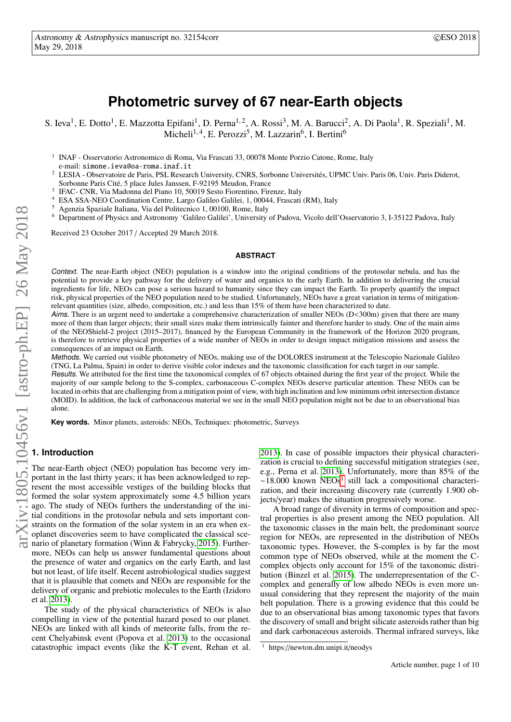# **Photometric survey of 67 near-Earth objects**

S. Ieva<sup>1</sup>, E. Dotto<sup>1</sup>, E. Mazzotta Epifani<sup>1</sup>, D. Perna<sup>1,2</sup>, A. Rossi<sup>3</sup>, M. A. Barucci<sup>2</sup>, A. Di Paola<sup>1</sup>, R. Speziali<sup>1</sup>, M. Micheli<sup>1,4</sup>, E. Perozzi<sup>5</sup>, M. Lazzarin<sup>6</sup>, I. Bertini<sup>6</sup>

<sup>1</sup> INAF - Osservatorio Astronomico di Roma, Via Frascati 33, 00078 Monte Porzio Catone, Rome, Italy

- <sup>2</sup> LESIA Observatoire de Paris, PSL Research University, CNRS, Sorbonne Universités, UPMC Univ. Paris 06, Univ. Paris Diderot, Sorbonne Paris Cité, 5 place Jules Janssen, F-92195 Meudon, France
- 3 IFAC- CNR, Via Madonna del Piano 10, 50019 Sesto Fiorentino, Firenze, Italy
- <sup>4</sup> ESA SSA-NEO Coordination Centre, Largo Galileo Galilei, 1, 00044, Frascati (RM), Italy
- <sup>5</sup> Agenzia Spaziale Italiana, Via del Politecnico 1, 00100, Rome, Italy
- <sup>6</sup> Department of Physics and Astronomy 'Galileo Galilei', University of Padova, Vicolo dell'Osservatorio 3, I-35122 Padova, Italy

Received 23 October 2017 / Accepted 29 March 2018.

#### **ABSTRACT**

Context. The near-Earth object (NEO) population is a window into the original conditions of the protosolar nebula, and has the potential to provide a key pathway for the delivery of water and organics to the early Earth. In addition to delivering the crucial ingredients for life, NEOs can pose a serious hazard to humanity since they can impact the Earth. To properly quantify the impact risk, physical properties of the NEO population need to be studied. Unfortunately, NEOs have a great variation in terms of mitigationrelevant quantities (size, albedo, composition, etc.) and less than 15% of them have been characterized to date.

Aims. There is an urgent need to undertake a comprehensive characterization of smaller NEOs (D<300m) given that there are many more of them than larger objects; their small sizes make them intrinsically fainter and therefore harder to study. One of the main aims of the NEOShield-2 project (2015–2017), financed by the European Community in the framework of the Horizon 2020 program, is therefore to retrieve physical properties of a wide number of NEOs in order to design impact mitigation missions and assess the consequences of an impact on Earth.

Methods. We carried out visible photometry of NEOs, making use of the DOLORES instrument at the Telescopio Nazionale Galileo (TNG, La Palma, Spain) in order to derive visible color indexes and the taxonomic classification for each target in our sample.

Results. We attributed for the first time the taxonomical complex of 67 objects obtained during the first year of the project. While the majority of our sample belong to the S-complex, carbonaceous C-complex NEOs deserve particular attention. These NEOs can be located in orbits that are challenging from a mitigation point of view, with high inclination and low minimum orbit intersection distance (MOID). In addition, the lack of carbonaceous material we see in the small NEO population might not be due to an observational bias alone.

**Key words.** Minor planets, asteroids: NEOs, Techniques: photometric, Surveys

# **1. Introduction**

The near-Earth object (NEO) population has become very important in the last thirty years; it has been acknowledged to represent the most accessible vestiges of the building blocks that formed the solar system approximately some 4.5 billion years ago. The study of NEOs furthers the understanding of the initial conditions in the protosolar nebula and sets important constraints on the formation of the solar system in an era when exoplanet discoveries seem to have complicated the classical scenario of planetary formation (Winn & Fabrycky, [2015\)](#page-4-0). Furthermore, NEOs can help us answer fundamental questions about the presence of water and organics on the early Earth, and last but not least, of life itself. Recent astrobiological studies suggest that it is plausible that comets and NEOs are responsible for the delivery of organic and prebiotic molecules to the Earth (Izidoro et al. [2013\)](#page-4-1).

The study of the physical characteristics of NEOs is also compelling in view of the potential hazard posed to our planet. NEOs are linked with all kinds of meteorite falls, from the recent Chelyabinsk event (Popova et al. [2013\)](#page-4-2) to the occasional catastrophic impact events (like the K-T event, Rehan et al.

[2013\)](#page-4-3). In case of possible impactors their physical characterization is crucial to defining successful mitigation strategies (see, e.g., Perna et al. [2013\)](#page-4-4). Unfortunately, more than 85% of the ~[1](#page-0-0)8.000 known NEOs<sup>1</sup> still lack a compositional characterization, and their increasing discovery rate (currently 1.900 objects/year) makes the situation progressively worse.

A broad range of diversity in terms of composition and spectral properties is also present among the NEO population. All the taxonomic classes in the main belt, the predominant source region for NEOs, are represented in the distribution of NEOs taxonomic types. However, the S-complex is by far the most common type of NEOs observed, while at the moment the Ccomplex objects only account for 15% of the taxonomic distribution (Binzel et al. [2015\)](#page-4-5). The underrepresentation of the Ccomplex and generally of low albedo NEOs is even more unusual considering that they represent the majority of the main belt population. There is a growing evidence that this could be due to an observational bias among taxonomic types that favors the discovery of small and bright silicate asteroids rather than big and dark carbonaceous asteroids. Thermal infrared surveys, like

e-mail: simone.ieva@oa-roma.inaf.it

<span id="page-0-0"></span> $1$  https://newton.dm.unipi.it/neodys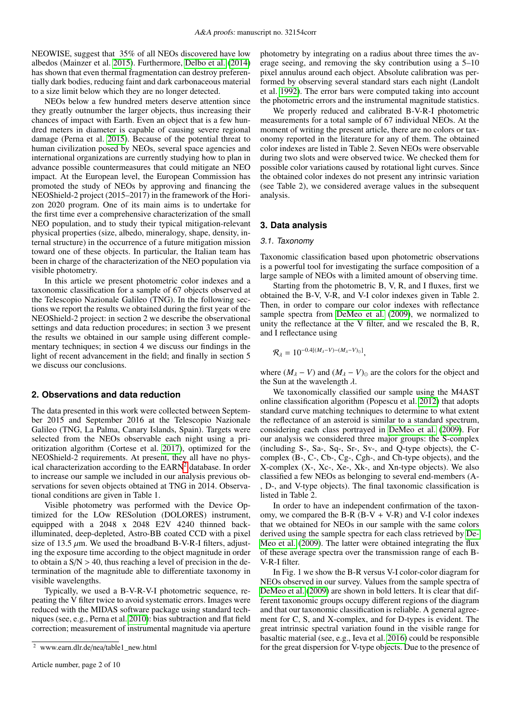NEOWISE, suggest that 35% of all NEOs discovered have low albedos (Mainzer et al. [2015\)](#page-4-6). Furthermore, [Delbo et al.](#page-4-7) [\(2014\)](#page-4-7) has shown that even thermal fragmentation can destroy preferentially dark bodies, reducing faint and dark carbonaceous material to a size limit below which they are no longer detected.

NEOs below a few hundred meters deserve attention since they greatly outnumber the larger objects, thus increasing their chances of impact with Earth. Even an object that is a few hundred meters in diameter is capable of causing severe regional damage (Perna et al. [2015\)](#page-4-8). Because of the potential threat to human civilization posed by NEOs, several space agencies and international organizations are currently studying how to plan in advance possible countermeasures that could mitigate an NEO impact. At the European level, the European Commission has promoted the study of NEOs by approving and financing the NEOShield-2 project (2015–2017) in the framework of the Horizon 2020 program. One of its main aims is to undertake for the first time ever a comprehensive characterization of the small NEO population, and to study their typical mitigation-relevant physical properties (size, albedo, mineralogy, shape, density, internal structure) in the occurrence of a future mitigation mission toward one of these objects. In particular, the Italian team has been in charge of the characterization of the NEO population via visible photometry.

In this article we present photometric color indexes and a taxonomic classification for a sample of 67 objects observed at the Telescopio Nazionale Galileo (TNG). In the following sections we report the results we obtained during the first year of the NEOShield-2 project: in section 2 we describe the observational settings and data reduction procedures; in section 3 we present the results we obtained in our sample using different complementary techniques; in section 4 we discuss our findings in the light of recent advancement in the field; and finally in section 5 we discuss our conclusions.

# **2. Observations and data reduction**

The data presented in this work were collected between September 2015 and September 2016 at the Telescopio Nazionale Galileo (TNG, La Palma, Canary Islands, Spain). Targets were selected from the NEOs observable each night using a prioritization algorithm (Cortese et al. [2017\)](#page-4-9), optimized for the NEOShield-2 requirements. At present, they all have no phys-ical characterization according to the EARN<sup>[2](#page-1-0)</sup> database. In order to increase our sample we included in our analysis previous observations for seven objects obtained at TNG in 2014. Observational conditions are given in Table 1.

Visible photometry was performed with the Device Optimized for the LOw RESolution (DOLORES) instrument, equipped with a 2048 x 2048 E2V 4240 thinned backilluminated, deep-depleted, Astro-BB coated CCD with a pixel size of 13.5  $\mu$ m. We used the broadband B-V-R-I filters, adjusting the exposure time according to the object magnitude in order to obtain a  $S/N > 40$ , thus reaching a level of precision in the determination of the magnitude able to differentiate taxonomy in visible wavelengths.

Typically, we used a B-V-R-V-I photometric sequence, repeating the V filter twice to avoid systematic errors. Images were reduced with the MIDAS software package using standard techniques (see, e.g., Perna et al. [2010\)](#page-4-10): bias subtraction and flat field correction; measurement of instrumental magnitude via aperture

photometry by integrating on a radius about three times the average seeing, and removing the sky contribution using a 5–10 pixel annulus around each object. Absolute calibration was performed by observing several standard stars each night (Landolt et al. [1992\)](#page-4-11). The error bars were computed taking into account the photometric errors and the instrumental magnitude statistics.

We properly reduced and calibrated B-V-R-I photometric measurements for a total sample of 67 individual NEOs. At the moment of writing the present article, there are no colors or taxonomy reported in the literature for any of them. The obtained color indexes are listed in Table 2. Seven NEOs were observable during two slots and were observed twice. We checked them for possible color variations caused by rotational light curves. Since the obtained color indexes do not present any intrinsic variation (see Table 2), we considered average values in the subsequent analysis.

# **3. Data analysis**

#### 3.1. Taxonomy

Taxonomic classification based upon photometric observations is a powerful tool for investigating the surface composition of a large sample of NEOs with a limited amount of observing time.

Starting from the photometric B, V, R, and I fluxes, first we obtained the B-V, V-R, and V-I color indexes given in Table 2. Then, in order to compare our color indexes with reflectance sample spectra from [DeMeo et al.](#page-4-12) [\(2009\)](#page-4-12), we normalized to unity the reflectance at the V filter, and we rescaled the B, R, and I reflectance using

$$
\mathcal{R}_{\lambda} = 10^{-0.4[(M_{\lambda}-V)-(M_{\lambda}-V)_{\odot}]},
$$

where  $(M_{\lambda} - V)$  and  $(M_{\lambda} - V)_{\odot}$  are the colors for the object and the Sun at the wavelength  $\lambda$ .

We taxonomically classified our sample using the M4AST online classification algorithm (Popescu et al. [2012\)](#page-4-13) that adopts standard curve matching techniques to determine to what extent the reflectance of an asteroid is similar to a standard spectrum, considering each class portrayed in [DeMeo et al.](#page-4-12) [\(2009\)](#page-4-12). For our analysis we considered three major groups: the S-complex (including S-, Sa-, Sq-, Sr-, Sv-, and Q-type objects), the Ccomplex (B-, C-, Cb-, Cg-, Cgh-, and Ch-type objects), and the X-complex (X-, Xc-, Xe-, Xk-, and Xn-type objects). We also classified a few NEOs as belonging to several end-members (A- , D-, and V-type objects). The final taxonomic classification is listed in Table 2.

In order to have an independent confirmation of the taxonomy, we compared the B-R  $(B-V + V-R)$  and V-I color indexes that we obtained for NEOs in our sample with the same colors derived using the sample spectra for each class retrieved by [De-](#page-4-12)[Meo et al.](#page-4-12) [\(2009\)](#page-4-12). The latter were obtained integrating the flux of these average spectra over the transmission range of each B-V-R-I filter.

In Fig. 1 we show the B-R versus V-I color-color diagram for NEOs observed in our survey. Values from the sample spectra of [DeMeo et al.](#page-4-12) [\(2009\)](#page-4-12) are shown in bold letters. It is clear that different taxonomic groups occupy different regions of the diagram and that our taxonomic classification is reliable. A general agreement for C, S, and X-complex, and for D-types is evident. The great intrinsic spectral variation found in the visible range for basaltic material (see, e.g., Ieva et al. [2016\)](#page-4-14) could be responsible for the great dispersion for V-type objects. Due to the presence of

<span id="page-1-0"></span><sup>2</sup> www.earn.dlr.de/nea/table1\_new.html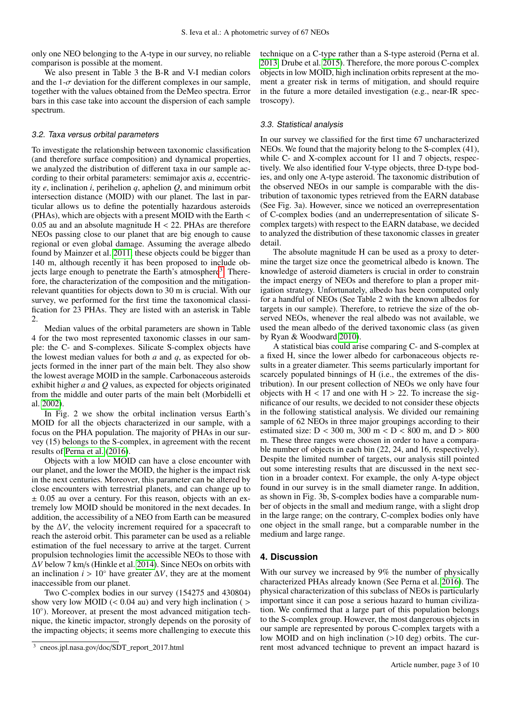only one NEO belonging to the A-type in our survey, no reliable comparison is possible at the moment.

We also present in Table 3 the B-R and V-I median colors and the 1- $\sigma$  deviation for the different complexes in our sample, together with the values obtained from the DeMeo spectra. Error bars in this case take into account the dispersion of each sample spectrum.

## 3.2. Taxa versus orbital parameters

To investigate the relationship between taxonomic classification (and therefore surface composition) and dynamical properties, we analyzed the distribution of different taxa in our sample according to their orbital parameters: semimajor axis *a*, eccentricity *e*, inclination *i*, perihelion *q*, aphelion *Q*, and minimum orbit intersection distance (MOID) with our planet. The last in particular allows us to define the potentially hazardous asteroids (PHAs), which are objects with a present MOID with the Earth <  $0.05$  au and an absolute magnitude  $H < 22$ . PHAs are therefore NEOs passing close to our planet that are big enough to cause regional or even global damage. Assuming the average albedo found by Mainzer et al. [2011,](#page-4-15) these objects could be bigger than 140 m, although recently it has been proposed to include ob-jects large enough to penetrate the Earth's atmosphere<sup>[3](#page-2-0)</sup>. Therefore, the characterization of the composition and the mitigationrelevant quantities for objects down to 30 m is crucial. With our survey, we performed for the first time the taxonomical classification for 23 PHAs. They are listed with an asterisk in Table 2.

Median values of the orbital parameters are shown in Table 4 for the two most represented taxonomic classes in our sample: the C- and S-complexes. Silicate S-complex objects have the lowest median values for both *a* and *q*, as expected for objects formed in the inner part of the main belt. They also show the lowest average MOID in the sample. Carbonaceous asteroids exhibit higher *a* and *Q* values, as expected for objects originated from the middle and outer parts of the main belt (Morbidelli et al. [2002\)](#page-4-16).

In Fig. 2 we show the orbital inclination versus Earth's MOID for all the objects characterized in our sample, with a focus on the PHA population. The majority of PHAs in our survey (15) belongs to the S-complex, in agreement with the recent results of [Perna et al.](#page-4-17) [\(2016\)](#page-4-17).

Objects with a low MOID can have a close encounter with our planet, and the lower the MOID, the higher is the impact risk in the next centuries. Moreover, this parameter can be altered by close encounters with terrestrial planets, and can change up to  $\pm$  0.05 au over a century. For this reason, objects with an extremely low MOID should be monitored in the next decades. In addition, the accessibility of a NEO from Earth can be measured by the ∆*V*, the velocity increment required for a spacecraft to reach the asteroid orbit. This parameter can be used as a reliable estimation of the fuel necessary to arrive at the target. Current propulsion technologies limit the accessible NEOs to those with ∆*V* below 7 km/s (Hinkle et al. [2014\)](#page-4-18). Since NEOs on orbits with an inclination  $i > 10°$  have greater  $\Delta V$ , they are at the moment inaccessible from our planet.

Two C-complex bodies in our survey (154275 and 430804) show very low MOID  $(< 0.04$  au) and very high inclination  $($ 10◦ ). Moreover, at present the most advanced mitigation technique, the kinetic impactor, strongly depends on the porosity of the impacting objects; it seems more challenging to execute this technique on a C-type rather than a S-type asteroid (Perna et al. [2013,](#page-4-4) Drube et al. [2015\)](#page-4-19). Therefore, the more porous C-complex objects in low MOID, high inclination orbits represent at the moment a greater risk in terms of mitigation, and should require in the future a more detailed investigation (e.g., near-IR spectroscopy).

#### 3.3. Statistical analysis

In our survey we classified for the first time 67 uncharacterized NEOs. We found that the majority belong to the S-complex (41), while C- and X-complex account for 11 and 7 objects, respectively. We also identified four V-type objects, three D-type bodies, and only one A-type asteroid. The taxonomic distribution of the observed NEOs in our sample is comparable with the distribution of taxonomic types retrieved from the EARN database (See Fig. 3a). However, since we noticed an overrepresentation of C-complex bodies (and an underrepresentation of silicate Scomplex targets) with respect to the EARN database, we decided to analyzed the distribution of these taxonomic classes in greater detail.

The absolute magnitude H can be used as a proxy to determine the target size once the geometrical albedo is known. The knowledge of asteroid diameters is crucial in order to constrain the impact energy of NEOs and therefore to plan a proper mitigation strategy. Unfortunately, albedo has been computed only for a handful of NEOs (See Table 2 with the known albedos for targets in our sample). Therefore, to retrieve the size of the observed NEOs, whenever the real albedo was not available, we used the mean albedo of the derived taxonomic class (as given by Ryan & Woodward [2010\)](#page-4-20).

A statistical bias could arise comparing C- and S-complex at a fixed H, since the lower albedo for carbonaceous objects results in a greater diameter. This seems particularly important for scarcely populated binnings of H (i.e., the extremes of the distribution). In our present collection of NEOs we only have four objects with  $H < 17$  and one with  $H > 22$ . To increase the significance of our results, we decided to not consider these objects in the following statistical analysis. We divided our remaining sample of 62 NEOs in three major groupings according to their estimated size:  $D < 300$  m,  $300$  m  $< D < 800$  m, and  $D > 800$ m. These three ranges were chosen in order to have a comparable number of objects in each bin (22, 24, and 16, respectively). Despite the limited number of targets, our analysis still pointed out some interesting results that are discussed in the next section in a broader context. For example, the only A-type object found in our survey is in the small diameter range. In addition, as shown in Fig. 3b, S-complex bodies have a comparable number of objects in the small and medium range, with a slight drop in the large range; on the contrary, C-complex bodies only have one object in the small range, but a comparable number in the medium and large range.

### **4. Discussion**

With our survey we increased by 9% the number of physically characterized PHAs already known (See Perna et al. [2016\)](#page-4-17). The physical characterization of this subclass of NEOs is particularly important since it can pose a serious hazard to human civilization. We confirmed that a large part of this population belongs to the S-complex group. However, the most dangerous objects in our sample are represented by porous C-complex targets with a low MOID and on high inclination (>10 deg) orbits. The current most advanced technique to prevent an impact hazard is

<span id="page-2-0"></span><sup>3</sup> cneos.jpl.nasa.gov/doc/SDT\_report\_2017.html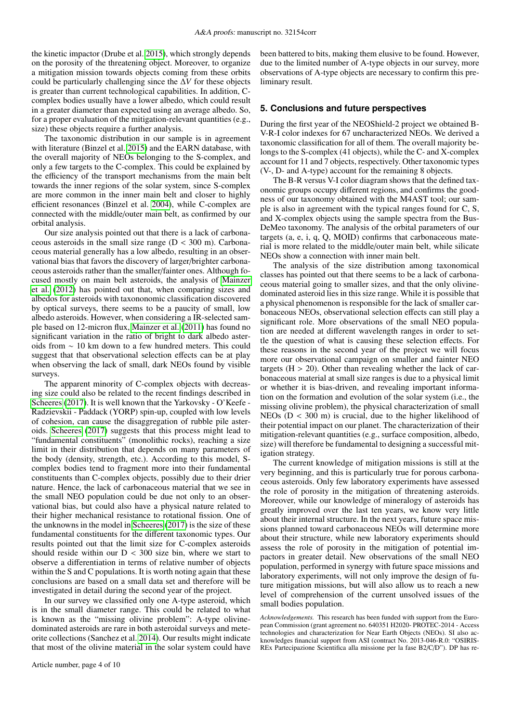the kinetic impactor (Drube et al. [2015\)](#page-4-19), which strongly depends on the porosity of the threatening object. Moreover, to organize a mitigation mission towards objects coming from these orbits could be particularly challenging since the ∆*V* for these objects is greater than current technological capabilities. In addition, Ccomplex bodies usually have a lower albedo, which could result in a greater diameter than expected using an average albedo. So, for a proper evaluation of the mitigation-relevant quantities (e.g., size) these objects require a further analysis.

The taxonomic distribution in our sample is in agreement with literature (Binzel et al. [2015\)](#page-4-5) and the EARN database, with the overall majority of NEOs belonging to the S-complex, and only a few targets to the C-complex. This could be explained by the efficiency of the transport mechanisms from the main belt towards the inner regions of the solar system, since S-complex are more common in the inner main belt and closer to highly efficient resonances (Binzel et al. [2004\)](#page-4-21), while C-complex are connected with the middle/outer main belt, as confirmed by our orbital analysis.

Our size analysis pointed out that there is a lack of carbonaceous asteroids in the small size range  $(D < 300$  m). Carbonaceous material generally has a low albedo, resulting in an observational bias that favors the discovery of larger/brighter carbonaceous asteroids rather than the smaller/fainter ones. Although focused mostly on main belt asteroids, the analysis of [Mainzer](#page-4-22) [et al.](#page-4-22) [\(2012\)](#page-4-22) has pointed out that, when comparing sizes and albedos for asteroids with taxononomic classification discovered by optical surveys, there seems to be a paucity of small, low albedo asteroids. However, when considering a IR-selected sample based on 12-micron flux, [Mainzer et al.](#page-4-15) [\(2011\)](#page-4-15) has found no significant variation in the ratio of bright to dark albedo asteroids from ∼ 10 km down to a few hundred meters. This could suggest that that observational selection effects can be at play when observing the lack of small, dark NEOs found by visible surveys.

The apparent minority of C-complex objects with decreasing size could also be related to the recent findings described in [Scheeres](#page-4-23) [\(2017\)](#page-4-23). It is well known that the Yarkovsky - O'Keefe - Radzievskii - Paddack (YORP) spin-up, coupled with low levels of cohesion, can cause the disaggregation of rubble pile asteroids. [Scheeres](#page-4-23) [\(2017\)](#page-4-23) suggests that this process might lead to "fundamental constituents" (monolithic rocks), reaching a size limit in their distribution that depends on many parameters of the body (density, strength, etc.). According to this model, Scomplex bodies tend to fragment more into their fundamental constituents than C-complex objects, possibly due to their drier nature. Hence, the lack of carbonaceous material that we see in the small NEO population could be due not only to an observational bias, but could also have a physical nature related to their higher mechanical resistance to rotational fission. One of the unknowns in the model in [Scheeres](#page-4-23) [\(2017\)](#page-4-23) is the size of these fundamental constituents for the different taxonomic types. Our results pointed out that the limit size for C-complex asteroids should reside within our  $D < 300$  size bin, where we start to observe a differentiation in terms of relative number of objects within the S and C populations. It is worth noting again that these conclusions are based on a small data set and therefore will be investigated in detail during the second year of the project.

In our survey we classified only one A-type asteroid, which is in the small diameter range. This could be related to what is known as the "missing olivine problem": A-type olivinedominated asteroids are rare in both asteroidal surveys and meteorite collections (Sanchez et al. [2014\)](#page-4-24). Our results might indicate that most of the olivine material in the solar system could have

Article number, page 4 of 10

been battered to bits, making them elusive to be found. However, due to the limited number of A-type objects in our survey, more observations of A-type objects are necessary to confirm this preliminary result.

# **5. Conclusions and future perspectives**

During the first year of the NEOShield-2 project we obtained B-V-R-I color indexes for 67 uncharacterized NEOs. We derived a taxonomic classification for all of them. The overall majority belongs to the S-complex (41 objects), while the C- and X-complex account for 11 and 7 objects, respectively. Other taxonomic types (V-, D- and A-type) account for the remaining 8 objects.

The B-R versus V-I color diagram shows that the defined taxonomic groups occupy different regions, and confirms the goodness of our taxonomy obtained with the M4AST tool; our sample is also in agreement with the typical ranges found for C, S, and X-complex objects using the sample spectra from the Bus-DeMeo taxonomy. The analysis of the orbital parameters of our targets (a, e, i, q, Q, MOID) confirms that carbonaceous material is more related to the middle/outer main belt, while silicate NEOs show a connection with inner main belt.

The analysis of the size distribution among taxonomical classes has pointed out that there seems to be a lack of carbonaceous material going to smaller sizes, and that the only olivinedominated asteroid lies in this size range. While it is possible that a physical phenomenon is responsible for the lack of smaller carbonaceous NEOs, observational selection effects can still play a significant role. More observations of the small NEO population are needed at different wavelength ranges in order to settle the question of what is causing these selection effects. For these reasons in the second year of the project we will focus more our observational campaign on smaller and fainter NEO targets  $(H > 20)$ . Other than revealing whether the lack of carbonaceous material at small size ranges is due to a physical limit or whether it is bias-driven, and revealing important information on the formation and evolution of the solar system (i.e., the missing olivine problem), the physical characterization of small NEOs ( $D < 300$  m) is crucial, due to the higher likelihood of their potential impact on our planet. The characterization of their mitigation-relevant quantities (e.g., surface composition, albedo, size) will therefore be fundamental to designing a successful mitigation strategy.

The current knowledge of mitigation missions is still at the very beginning, and this is particularly true for porous carbonaceous asteroids. Only few laboratory experiments have assessed the role of porosity in the mitigation of threatening asteroids. Moreover, while our knowledge of mineralogy of asteroids has greatly improved over the last ten years, we know very little about their internal structure. In the next years, future space missions planned toward carbonaceous NEOs will determine more about their structure, while new laboratory experiments should assess the role of porosity in the mitigation of potential impactors in greater detail. New observations of the small NEO population, performed in synergy with future space missions and laboratory experiments, will not only improve the design of future mitigation missions, but will also allow us to reach a new level of comprehension of the current unsolved issues of the small bodies population.

*Acknowledgements.* This research has been funded with support from the European Commission (grant agreement no. 640351 H2020- PROTEC-2014 - Access technologies and characterization for Near Earth Objects (NEOs). SI also acknowledges financial support from ASI (contract No. 2013-046-R.0: "OSIRIS-REx Partecipazione Scientifica alla missione per la fase B2/C/D"). DP has re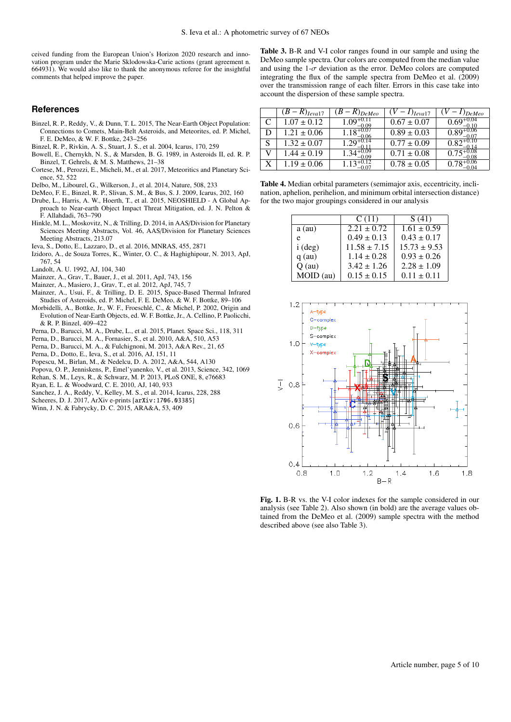ceived funding from the European Union's Horizon 2020 research and innovation program under the Marie Sklodowska-Curie actions (grant agreement n. 664931). We would also like to thank the anonymous referee for the insightful comments that helped improve the paper.

## **References**

- <span id="page-4-5"></span>Binzel, R. P., Reddy, V., & Dunn, T. L. 2015, The Near-Earth Object Population: Connections to Comets, Main-Belt Asteroids, and Meteorites, ed. P. Michel, F. E. DeMeo, & W. F. Bottke, 243–256
- <span id="page-4-21"></span>Binzel, R. P., Rivkin, A. S., Stuart, J. S., et al. 2004, Icarus, 170, 259
- <span id="page-4-25"></span>Bowell, E., Chernykh, N. S., & Marsden, B. G. 1989, in Asteroids II, ed. R. P. Binzel, T. Gehrels, & M. S. Matthews, 21–38
- <span id="page-4-9"></span>Cortese, M., Perozzi, E., Micheli, M., et al. 2017, Meteoritics and Planetary Science, 52, 522
- <span id="page-4-7"></span>Delbo, M., Libourel, G., Wilkerson, J., et al. 2014, Nature, 508, 233
- <span id="page-4-12"></span>DeMeo, F. E., Binzel, R. P., Slivan, S. M., & Bus, S. J. 2009, Icarus, 202, 160
- <span id="page-4-19"></span>Drube, L., Harris, A. W., Hoerth, T., et al. 2015, NEOSHIELD - A Global Approach to Near-earth Object Impact Threat Mitigation, ed. J. N. Pelton & F. Allahdadi, 763–790
- <span id="page-4-18"></span>Hinkle, M. L., Moskovitz, N., & Trilling, D. 2014, in AAS/Division for Planetary Sciences Meeting Abstracts, Vol. 46, AAS/Division for Planetary Sciences Meeting Abstracts, 213.07
- <span id="page-4-14"></span>Ieva, S., Dotto, E., Lazzaro, D., et al. 2016, MNRAS, 455, 2871
- <span id="page-4-1"></span>Izidoro, A., de Souza Torres, K., Winter, O. C., & Haghighipour, N. 2013, ApJ, 767, 54
- <span id="page-4-11"></span>Landolt, A. U. 1992, AJ, 104, 340
- <span id="page-4-15"></span>Mainzer, A., Grav, T., Bauer, J., et al. 2011, ApJ, 743, 156
- <span id="page-4-22"></span>Mainzer, A., Masiero, J., Grav, T., et al. 2012, ApJ, 745, 7
- <span id="page-4-6"></span>Mainzer, A., Usui, F., & Trilling, D. E. 2015, Space-Based Thermal Infrared Studies of Asteroids, ed. P. Michel, F. E. DeMeo, & W. F. Bottke, 89–106
- <span id="page-4-16"></span>Morbidelli, A., Bottke, Jr., W. F., Froeschlé, C., & Michel, P. 2002, Origin and Evolution of Near-Earth Objects, ed. W. F. Bottke, Jr., A. Cellino, P. Paolicchi, & R. P. Binzel, 409–422
- <span id="page-4-8"></span>Perna, D., Barucci, M. A., Drube, L., et al. 2015, Planet. Space Sci., 118, 311
- <span id="page-4-10"></span>Perna, D., Barucci, M. A., Fornasier, S., et al. 2010, A&A, 510, A53
- <span id="page-4-4"></span>Perna, D., Barucci, M. A., & Fulchignoni, M. 2013, A&A Rev., 21, 65
- <span id="page-4-17"></span>Perna, D., Dotto, E., Ieva, S., et al. 2016, AJ, 151, 11
- 
- <span id="page-4-13"></span>Popescu, M., Birlan, M., & Nedelcu, D. A. 2012, A&A, 544, A130
- <span id="page-4-3"></span><span id="page-4-2"></span>Popova, O. P., Jenniskens, P., Emel'yanenko, V., et al. 2013, Science, 342, 1069 Rehan, S. M., Leys, R., & Schwarz, M. P. 2013, PLoS ONE, 8, e76683
- <span id="page-4-20"></span>Ryan, E. L. & Woodward, C. E. 2010, AJ, 140, 933
- <span id="page-4-24"></span>Sanchez, J. A., Reddy, V., Kelley, M. S., et al. 2014, Icarus, 228, 288
- <span id="page-4-23"></span>Scheeres, D. J. 2017, ArXiv e-prints [arXiv:1706.03385]
- <span id="page-4-0"></span>Winn, J. N. & Fabrycky, D. C. 2015, ARA&A, 53, 409

Table 3. B-R and V-I color ranges found in our sample and using the DeMeo sample spectra. Our colors are computed from the median value and using the  $1-\sigma$  deviation as the error. DeMeo colors are computed integrating the flux of the sample spectra from DeMeo et al. (2009) over the transmission range of each filter. Errors in this case take into account the dispersion of these sample spectra.

|   | $(R)$ <sub>Leva</sub> <sub>17</sub> | $R)_{DeMeo}$   | $\int$ leval 7  | <i>DeMeo</i> |
|---|-------------------------------------|----------------|-----------------|--------------|
|   | $1.07 \pm 0.12$                     | $1.09^{+0.1}$  | $0.67 \pm 0.07$ |              |
| D | $1.21 \pm 0.06$                     | $1.18^{+0.07}$ | $0.89 \pm 0.03$ |              |
| S | $1.32 \pm 0.07$                     | $1.29^{+0.14}$ | $0.77 \pm 0.09$ |              |
| V | $1.44 \pm 0.19$                     |                | $0.71 \pm 0.08$ |              |
| X | $1.19 \pm 0.06$                     |                | $0.78 \pm 0.05$ |              |
|   |                                     |                |                 |              |

| Table 4. Median orbital parameters (semimajor axis, eccentricity, incli- |
|--------------------------------------------------------------------------|
| nation, aphelion, perihelion, and minimum orbital intersection distance) |
| for the two major groupings considered in our analysis                   |

| C(11)            | S(41)            |
|------------------|------------------|
| $2.21 + 0.72$    | $1.61 \pm 0.59$  |
| $0.49 \pm 0.13$  | $0.43 + 0.17$    |
| $11.58 \pm 7.15$ | $15.73 \pm 9.53$ |
| $1.14 \pm 0.28$  | $0.93 \pm 0.26$  |
| $3.42 \pm 1.26$  | $2.28 \pm 1.09$  |
| $0.15 \pm 0.15$  | $0.11 \pm 0.11$  |
|                  |                  |



Fig. 1. B-R vs. the V-I color indexes for the sample considered in our analysis (see Table 2). Also shown (in bold) are the average values obtained from the DeMeo et al. (2009) sample spectra with the method described above (see also Table 3).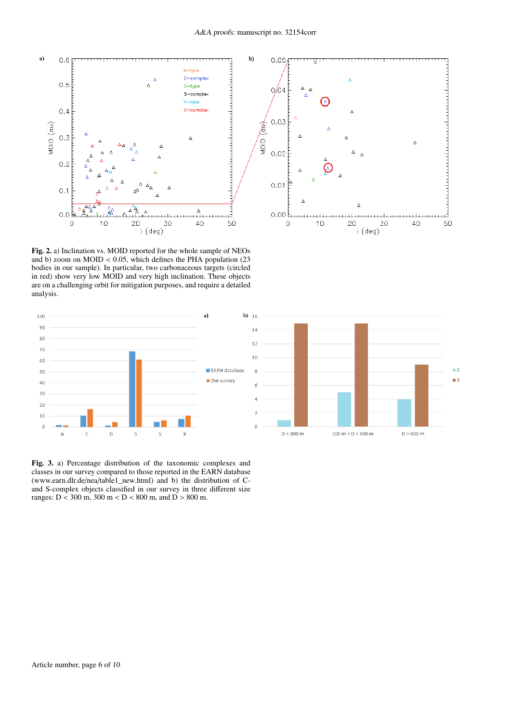

 $\blacksquare$  C

 $\blacksquare$  S

 $D > 800$  m

Fig. 2. a) Inclination vs. MOID reported for the whole sample of NEOs and b) zoom on  $M OID < 0.05$ , which defines the PHA population (23) bodies in our sample). In particular, two carbonaceous targets (circled in red) show very low MOID and very high inclination. These objects are on a challenging orbit for mitigation purposes, and require a detailed analysis.



Fig. 3. a) Percentage distribution of the taxonomic complexes and classes in our survey compared to those reported in the EARN database (www.earn.dlr.de/nea/table1\_new.html) and b) the distribution of Cand S-complex objects classified in our survey in three different size ranges: D < 300 m, 300 m < D < 800 m, and D > 800 m.

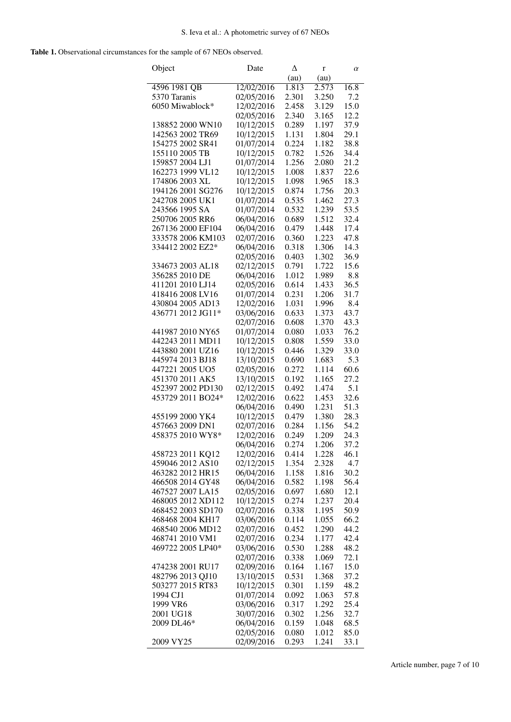Table 1. Observational circumstances for the sample of 67 NEOs observed.

| (au)<br>(au)<br>16.8<br>4596 1981 QB<br>12/02/2016<br>1.813<br>2.573<br>5370 Taranis<br>2.301<br>3.250<br>02/05/2016<br>7.2<br>15.0<br>6050 Miwablock*<br>12/02/2016<br>3.129<br>2.458<br>02/05/2016<br>2.340<br>3.165<br>12.2<br>138852 2000 WN10<br>10/12/2015<br>1.197<br>37.9<br>0.289<br>10/12/2015<br>142563 2002 TR69<br>1.131<br>29.1<br>1.804<br>154275 2002 SR41<br>01/07/2014<br>0.224<br>38.8<br>1.182<br>155110 2005 TB<br>10/12/2015<br>1.526<br>34.4<br>0.782<br>159857 2004 LJ1<br>01/07/2014<br>1.256<br>2.080<br>21.2<br>162273 1999 VL12<br>10/12/2015<br>1.837<br>22.6<br>1.008<br>174806 2003 XL<br>10/12/2015<br>18.3<br>1.098<br>1.965<br>194126 2001 SG276<br>10/12/2015<br>0.874<br>1.756<br>20.3<br>242708 2005 UK1<br>01/07/2014<br>27.3<br>0.535<br>1.462<br>243566 1995 SA<br>53.5<br>01/07/2014<br>0.532<br>1.239<br>250706 2005 RR6<br>32.4<br>06/04/2016<br>0.689<br>1.512<br>267136 2000 EF104<br>06/04/2016<br>0.479<br>1.448<br>17.4<br>333578 2006 KM103<br>02/07/2016<br>1.223<br>47.8<br>0.360<br>334412 2002 EZ2*<br>06/04/2016<br>14.3<br>0.318<br>1.306<br>02/05/2016<br>0.403<br>1.302<br>36.9<br>334673 2003 AL18<br>02/12/2015<br>0.791<br>1.722<br>15.6<br>356285 2010 DE<br>06/04/2016<br>1.989<br>8.8<br>1.012<br>411201 2010 LJ14<br>02/05/2016<br>1.433<br>36.5<br>0.614<br>418416 2008 LV16<br>01/07/2014<br>0.231<br>1.206<br>31.7<br>430804 2005 AD13<br>12/02/2016<br>8.4<br>1.031<br>1.996<br>436771 2012 JG11*<br>03/06/2016<br>1.373<br>0.633<br>43.7<br>1.370<br>43.3<br>02/07/2016<br>0.608<br>441987 2010 NY65<br>01/07/2014<br>76.2<br>0.080<br>1.033<br>442243 2011 MD11<br>10/12/2015<br>0.808<br>1.559<br>33.0<br>443880 2001 UZ16<br>10/12/2015<br>1.329<br>33.0<br>0.446<br>445974 2013 BJ18<br>13/10/2015<br>5.3<br>0.690<br>1.683<br>447221 2005 UO5<br>02/05/2016<br>0.272<br>1.114<br>60.6<br>451370 2011 AK5<br>13/10/2015<br>0.192<br>1.165<br>27.2<br>452397 2002 PD130<br>02/12/2015<br>1.474<br>5.1<br>0.492<br>453729 2011 BO24*<br>12/02/2016<br>0.622<br>1.453<br>32.6<br>51.3<br>06/04/2016<br>1.231<br>0.490<br>455199 2000 YK4<br>28.3<br>10/12/2015<br>0.479<br>1.380<br>457663 2009 DN1<br>02/07/2016<br>54.2<br>0.284<br>1.156<br>458375 2010 WY8*<br>12/02/2016<br>1.209<br>0.249<br>24.3<br>06/04/2016<br>1.206<br>37.2<br>0.274<br>458723 2011 KQ12<br>46.1<br>12/02/2016<br>0.414<br>1.228<br>459046 2012 AS10<br>02/12/2015<br>4.7<br>1.354<br>2.328<br>06/04/2016<br>463282 2012 HR15<br>30.2<br>1.158<br>1.816<br>466508 2014 GY48<br>06/04/2016<br>0.582<br>1.198<br>56.4<br>467527 2007 LA15<br>02/05/2016<br>12.1<br>0.697<br>1.680<br>10/12/2015<br>468005 2012 XD112<br>20.4<br>0.274<br>1.237<br>02/07/2016<br>468452 2003 SD170<br>0.338<br>1.195<br>50.9<br>03/06/2016<br>468468 2004 KH17<br>66.2<br>0.114<br>1.055<br>02/07/2016<br>44.2<br>468540 2006 MD12<br>0.452<br>1.290<br>468741 2010 VM1<br>42.4<br>02/07/2016<br>0.234<br>1.177<br>469722 2005 LP40*<br>03/06/2016<br>0.530<br>48.2<br>1.288<br>02/07/2016<br>0.338<br>72.1<br>1.069<br>15.0<br>474238 2001 RU17<br>02/09/2016<br>0.164<br>1.167<br>482796 2013 QJ10<br>13/10/2015<br>0.531<br>37.2<br>1.368<br>10/12/2015<br>503277 2015 RT83<br>0.301<br>48.2<br>1.159<br>1994 CJ1<br>01/07/2014<br>57.8<br>0.092<br>1.063<br>1999 VR6<br>03/06/2016<br>0.317<br>25.4<br>1.292 | Object    | Date       | Δ     | r     | $\alpha$ |
|------------------------------------------------------------------------------------------------------------------------------------------------------------------------------------------------------------------------------------------------------------------------------------------------------------------------------------------------------------------------------------------------------------------------------------------------------------------------------------------------------------------------------------------------------------------------------------------------------------------------------------------------------------------------------------------------------------------------------------------------------------------------------------------------------------------------------------------------------------------------------------------------------------------------------------------------------------------------------------------------------------------------------------------------------------------------------------------------------------------------------------------------------------------------------------------------------------------------------------------------------------------------------------------------------------------------------------------------------------------------------------------------------------------------------------------------------------------------------------------------------------------------------------------------------------------------------------------------------------------------------------------------------------------------------------------------------------------------------------------------------------------------------------------------------------------------------------------------------------------------------------------------------------------------------------------------------------------------------------------------------------------------------------------------------------------------------------------------------------------------------------------------------------------------------------------------------------------------------------------------------------------------------------------------------------------------------------------------------------------------------------------------------------------------------------------------------------------------------------------------------------------------------------------------------------------------------------------------------------------------------------------------------------------------------------------------------------------------------------------------------------------------------------------------------------------------------------------------------------------------------------------------------------------------------------------------------------------------------------------------------------------------------------------------------------------------------------------------------------------------------------------------------------------------------------------------------------------------------------------------------------------------------------------------------------------------------------------------|-----------|------------|-------|-------|----------|
|                                                                                                                                                                                                                                                                                                                                                                                                                                                                                                                                                                                                                                                                                                                                                                                                                                                                                                                                                                                                                                                                                                                                                                                                                                                                                                                                                                                                                                                                                                                                                                                                                                                                                                                                                                                                                                                                                                                                                                                                                                                                                                                                                                                                                                                                                                                                                                                                                                                                                                                                                                                                                                                                                                                                                                                                                                                                                                                                                                                                                                                                                                                                                                                                                                                                                                                                                |           |            |       |       |          |
|                                                                                                                                                                                                                                                                                                                                                                                                                                                                                                                                                                                                                                                                                                                                                                                                                                                                                                                                                                                                                                                                                                                                                                                                                                                                                                                                                                                                                                                                                                                                                                                                                                                                                                                                                                                                                                                                                                                                                                                                                                                                                                                                                                                                                                                                                                                                                                                                                                                                                                                                                                                                                                                                                                                                                                                                                                                                                                                                                                                                                                                                                                                                                                                                                                                                                                                                                |           |            |       |       |          |
|                                                                                                                                                                                                                                                                                                                                                                                                                                                                                                                                                                                                                                                                                                                                                                                                                                                                                                                                                                                                                                                                                                                                                                                                                                                                                                                                                                                                                                                                                                                                                                                                                                                                                                                                                                                                                                                                                                                                                                                                                                                                                                                                                                                                                                                                                                                                                                                                                                                                                                                                                                                                                                                                                                                                                                                                                                                                                                                                                                                                                                                                                                                                                                                                                                                                                                                                                |           |            |       |       |          |
|                                                                                                                                                                                                                                                                                                                                                                                                                                                                                                                                                                                                                                                                                                                                                                                                                                                                                                                                                                                                                                                                                                                                                                                                                                                                                                                                                                                                                                                                                                                                                                                                                                                                                                                                                                                                                                                                                                                                                                                                                                                                                                                                                                                                                                                                                                                                                                                                                                                                                                                                                                                                                                                                                                                                                                                                                                                                                                                                                                                                                                                                                                                                                                                                                                                                                                                                                |           |            |       |       |          |
|                                                                                                                                                                                                                                                                                                                                                                                                                                                                                                                                                                                                                                                                                                                                                                                                                                                                                                                                                                                                                                                                                                                                                                                                                                                                                                                                                                                                                                                                                                                                                                                                                                                                                                                                                                                                                                                                                                                                                                                                                                                                                                                                                                                                                                                                                                                                                                                                                                                                                                                                                                                                                                                                                                                                                                                                                                                                                                                                                                                                                                                                                                                                                                                                                                                                                                                                                |           |            |       |       |          |
|                                                                                                                                                                                                                                                                                                                                                                                                                                                                                                                                                                                                                                                                                                                                                                                                                                                                                                                                                                                                                                                                                                                                                                                                                                                                                                                                                                                                                                                                                                                                                                                                                                                                                                                                                                                                                                                                                                                                                                                                                                                                                                                                                                                                                                                                                                                                                                                                                                                                                                                                                                                                                                                                                                                                                                                                                                                                                                                                                                                                                                                                                                                                                                                                                                                                                                                                                |           |            |       |       |          |
|                                                                                                                                                                                                                                                                                                                                                                                                                                                                                                                                                                                                                                                                                                                                                                                                                                                                                                                                                                                                                                                                                                                                                                                                                                                                                                                                                                                                                                                                                                                                                                                                                                                                                                                                                                                                                                                                                                                                                                                                                                                                                                                                                                                                                                                                                                                                                                                                                                                                                                                                                                                                                                                                                                                                                                                                                                                                                                                                                                                                                                                                                                                                                                                                                                                                                                                                                |           |            |       |       |          |
|                                                                                                                                                                                                                                                                                                                                                                                                                                                                                                                                                                                                                                                                                                                                                                                                                                                                                                                                                                                                                                                                                                                                                                                                                                                                                                                                                                                                                                                                                                                                                                                                                                                                                                                                                                                                                                                                                                                                                                                                                                                                                                                                                                                                                                                                                                                                                                                                                                                                                                                                                                                                                                                                                                                                                                                                                                                                                                                                                                                                                                                                                                                                                                                                                                                                                                                                                |           |            |       |       |          |
|                                                                                                                                                                                                                                                                                                                                                                                                                                                                                                                                                                                                                                                                                                                                                                                                                                                                                                                                                                                                                                                                                                                                                                                                                                                                                                                                                                                                                                                                                                                                                                                                                                                                                                                                                                                                                                                                                                                                                                                                                                                                                                                                                                                                                                                                                                                                                                                                                                                                                                                                                                                                                                                                                                                                                                                                                                                                                                                                                                                                                                                                                                                                                                                                                                                                                                                                                |           |            |       |       |          |
|                                                                                                                                                                                                                                                                                                                                                                                                                                                                                                                                                                                                                                                                                                                                                                                                                                                                                                                                                                                                                                                                                                                                                                                                                                                                                                                                                                                                                                                                                                                                                                                                                                                                                                                                                                                                                                                                                                                                                                                                                                                                                                                                                                                                                                                                                                                                                                                                                                                                                                                                                                                                                                                                                                                                                                                                                                                                                                                                                                                                                                                                                                                                                                                                                                                                                                                                                |           |            |       |       |          |
|                                                                                                                                                                                                                                                                                                                                                                                                                                                                                                                                                                                                                                                                                                                                                                                                                                                                                                                                                                                                                                                                                                                                                                                                                                                                                                                                                                                                                                                                                                                                                                                                                                                                                                                                                                                                                                                                                                                                                                                                                                                                                                                                                                                                                                                                                                                                                                                                                                                                                                                                                                                                                                                                                                                                                                                                                                                                                                                                                                                                                                                                                                                                                                                                                                                                                                                                                |           |            |       |       |          |
|                                                                                                                                                                                                                                                                                                                                                                                                                                                                                                                                                                                                                                                                                                                                                                                                                                                                                                                                                                                                                                                                                                                                                                                                                                                                                                                                                                                                                                                                                                                                                                                                                                                                                                                                                                                                                                                                                                                                                                                                                                                                                                                                                                                                                                                                                                                                                                                                                                                                                                                                                                                                                                                                                                                                                                                                                                                                                                                                                                                                                                                                                                                                                                                                                                                                                                                                                |           |            |       |       |          |
|                                                                                                                                                                                                                                                                                                                                                                                                                                                                                                                                                                                                                                                                                                                                                                                                                                                                                                                                                                                                                                                                                                                                                                                                                                                                                                                                                                                                                                                                                                                                                                                                                                                                                                                                                                                                                                                                                                                                                                                                                                                                                                                                                                                                                                                                                                                                                                                                                                                                                                                                                                                                                                                                                                                                                                                                                                                                                                                                                                                                                                                                                                                                                                                                                                                                                                                                                |           |            |       |       |          |
|                                                                                                                                                                                                                                                                                                                                                                                                                                                                                                                                                                                                                                                                                                                                                                                                                                                                                                                                                                                                                                                                                                                                                                                                                                                                                                                                                                                                                                                                                                                                                                                                                                                                                                                                                                                                                                                                                                                                                                                                                                                                                                                                                                                                                                                                                                                                                                                                                                                                                                                                                                                                                                                                                                                                                                                                                                                                                                                                                                                                                                                                                                                                                                                                                                                                                                                                                |           |            |       |       |          |
|                                                                                                                                                                                                                                                                                                                                                                                                                                                                                                                                                                                                                                                                                                                                                                                                                                                                                                                                                                                                                                                                                                                                                                                                                                                                                                                                                                                                                                                                                                                                                                                                                                                                                                                                                                                                                                                                                                                                                                                                                                                                                                                                                                                                                                                                                                                                                                                                                                                                                                                                                                                                                                                                                                                                                                                                                                                                                                                                                                                                                                                                                                                                                                                                                                                                                                                                                |           |            |       |       |          |
|                                                                                                                                                                                                                                                                                                                                                                                                                                                                                                                                                                                                                                                                                                                                                                                                                                                                                                                                                                                                                                                                                                                                                                                                                                                                                                                                                                                                                                                                                                                                                                                                                                                                                                                                                                                                                                                                                                                                                                                                                                                                                                                                                                                                                                                                                                                                                                                                                                                                                                                                                                                                                                                                                                                                                                                                                                                                                                                                                                                                                                                                                                                                                                                                                                                                                                                                                |           |            |       |       |          |
|                                                                                                                                                                                                                                                                                                                                                                                                                                                                                                                                                                                                                                                                                                                                                                                                                                                                                                                                                                                                                                                                                                                                                                                                                                                                                                                                                                                                                                                                                                                                                                                                                                                                                                                                                                                                                                                                                                                                                                                                                                                                                                                                                                                                                                                                                                                                                                                                                                                                                                                                                                                                                                                                                                                                                                                                                                                                                                                                                                                                                                                                                                                                                                                                                                                                                                                                                |           |            |       |       |          |
|                                                                                                                                                                                                                                                                                                                                                                                                                                                                                                                                                                                                                                                                                                                                                                                                                                                                                                                                                                                                                                                                                                                                                                                                                                                                                                                                                                                                                                                                                                                                                                                                                                                                                                                                                                                                                                                                                                                                                                                                                                                                                                                                                                                                                                                                                                                                                                                                                                                                                                                                                                                                                                                                                                                                                                                                                                                                                                                                                                                                                                                                                                                                                                                                                                                                                                                                                |           |            |       |       |          |
|                                                                                                                                                                                                                                                                                                                                                                                                                                                                                                                                                                                                                                                                                                                                                                                                                                                                                                                                                                                                                                                                                                                                                                                                                                                                                                                                                                                                                                                                                                                                                                                                                                                                                                                                                                                                                                                                                                                                                                                                                                                                                                                                                                                                                                                                                                                                                                                                                                                                                                                                                                                                                                                                                                                                                                                                                                                                                                                                                                                                                                                                                                                                                                                                                                                                                                                                                |           |            |       |       |          |
|                                                                                                                                                                                                                                                                                                                                                                                                                                                                                                                                                                                                                                                                                                                                                                                                                                                                                                                                                                                                                                                                                                                                                                                                                                                                                                                                                                                                                                                                                                                                                                                                                                                                                                                                                                                                                                                                                                                                                                                                                                                                                                                                                                                                                                                                                                                                                                                                                                                                                                                                                                                                                                                                                                                                                                                                                                                                                                                                                                                                                                                                                                                                                                                                                                                                                                                                                |           |            |       |       |          |
|                                                                                                                                                                                                                                                                                                                                                                                                                                                                                                                                                                                                                                                                                                                                                                                                                                                                                                                                                                                                                                                                                                                                                                                                                                                                                                                                                                                                                                                                                                                                                                                                                                                                                                                                                                                                                                                                                                                                                                                                                                                                                                                                                                                                                                                                                                                                                                                                                                                                                                                                                                                                                                                                                                                                                                                                                                                                                                                                                                                                                                                                                                                                                                                                                                                                                                                                                |           |            |       |       |          |
|                                                                                                                                                                                                                                                                                                                                                                                                                                                                                                                                                                                                                                                                                                                                                                                                                                                                                                                                                                                                                                                                                                                                                                                                                                                                                                                                                                                                                                                                                                                                                                                                                                                                                                                                                                                                                                                                                                                                                                                                                                                                                                                                                                                                                                                                                                                                                                                                                                                                                                                                                                                                                                                                                                                                                                                                                                                                                                                                                                                                                                                                                                                                                                                                                                                                                                                                                |           |            |       |       |          |
|                                                                                                                                                                                                                                                                                                                                                                                                                                                                                                                                                                                                                                                                                                                                                                                                                                                                                                                                                                                                                                                                                                                                                                                                                                                                                                                                                                                                                                                                                                                                                                                                                                                                                                                                                                                                                                                                                                                                                                                                                                                                                                                                                                                                                                                                                                                                                                                                                                                                                                                                                                                                                                                                                                                                                                                                                                                                                                                                                                                                                                                                                                                                                                                                                                                                                                                                                |           |            |       |       |          |
|                                                                                                                                                                                                                                                                                                                                                                                                                                                                                                                                                                                                                                                                                                                                                                                                                                                                                                                                                                                                                                                                                                                                                                                                                                                                                                                                                                                                                                                                                                                                                                                                                                                                                                                                                                                                                                                                                                                                                                                                                                                                                                                                                                                                                                                                                                                                                                                                                                                                                                                                                                                                                                                                                                                                                                                                                                                                                                                                                                                                                                                                                                                                                                                                                                                                                                                                                |           |            |       |       |          |
|                                                                                                                                                                                                                                                                                                                                                                                                                                                                                                                                                                                                                                                                                                                                                                                                                                                                                                                                                                                                                                                                                                                                                                                                                                                                                                                                                                                                                                                                                                                                                                                                                                                                                                                                                                                                                                                                                                                                                                                                                                                                                                                                                                                                                                                                                                                                                                                                                                                                                                                                                                                                                                                                                                                                                                                                                                                                                                                                                                                                                                                                                                                                                                                                                                                                                                                                                |           |            |       |       |          |
|                                                                                                                                                                                                                                                                                                                                                                                                                                                                                                                                                                                                                                                                                                                                                                                                                                                                                                                                                                                                                                                                                                                                                                                                                                                                                                                                                                                                                                                                                                                                                                                                                                                                                                                                                                                                                                                                                                                                                                                                                                                                                                                                                                                                                                                                                                                                                                                                                                                                                                                                                                                                                                                                                                                                                                                                                                                                                                                                                                                                                                                                                                                                                                                                                                                                                                                                                |           |            |       |       |          |
|                                                                                                                                                                                                                                                                                                                                                                                                                                                                                                                                                                                                                                                                                                                                                                                                                                                                                                                                                                                                                                                                                                                                                                                                                                                                                                                                                                                                                                                                                                                                                                                                                                                                                                                                                                                                                                                                                                                                                                                                                                                                                                                                                                                                                                                                                                                                                                                                                                                                                                                                                                                                                                                                                                                                                                                                                                                                                                                                                                                                                                                                                                                                                                                                                                                                                                                                                |           |            |       |       |          |
|                                                                                                                                                                                                                                                                                                                                                                                                                                                                                                                                                                                                                                                                                                                                                                                                                                                                                                                                                                                                                                                                                                                                                                                                                                                                                                                                                                                                                                                                                                                                                                                                                                                                                                                                                                                                                                                                                                                                                                                                                                                                                                                                                                                                                                                                                                                                                                                                                                                                                                                                                                                                                                                                                                                                                                                                                                                                                                                                                                                                                                                                                                                                                                                                                                                                                                                                                |           |            |       |       |          |
|                                                                                                                                                                                                                                                                                                                                                                                                                                                                                                                                                                                                                                                                                                                                                                                                                                                                                                                                                                                                                                                                                                                                                                                                                                                                                                                                                                                                                                                                                                                                                                                                                                                                                                                                                                                                                                                                                                                                                                                                                                                                                                                                                                                                                                                                                                                                                                                                                                                                                                                                                                                                                                                                                                                                                                                                                                                                                                                                                                                                                                                                                                                                                                                                                                                                                                                                                |           |            |       |       |          |
|                                                                                                                                                                                                                                                                                                                                                                                                                                                                                                                                                                                                                                                                                                                                                                                                                                                                                                                                                                                                                                                                                                                                                                                                                                                                                                                                                                                                                                                                                                                                                                                                                                                                                                                                                                                                                                                                                                                                                                                                                                                                                                                                                                                                                                                                                                                                                                                                                                                                                                                                                                                                                                                                                                                                                                                                                                                                                                                                                                                                                                                                                                                                                                                                                                                                                                                                                |           |            |       |       |          |
|                                                                                                                                                                                                                                                                                                                                                                                                                                                                                                                                                                                                                                                                                                                                                                                                                                                                                                                                                                                                                                                                                                                                                                                                                                                                                                                                                                                                                                                                                                                                                                                                                                                                                                                                                                                                                                                                                                                                                                                                                                                                                                                                                                                                                                                                                                                                                                                                                                                                                                                                                                                                                                                                                                                                                                                                                                                                                                                                                                                                                                                                                                                                                                                                                                                                                                                                                |           |            |       |       |          |
|                                                                                                                                                                                                                                                                                                                                                                                                                                                                                                                                                                                                                                                                                                                                                                                                                                                                                                                                                                                                                                                                                                                                                                                                                                                                                                                                                                                                                                                                                                                                                                                                                                                                                                                                                                                                                                                                                                                                                                                                                                                                                                                                                                                                                                                                                                                                                                                                                                                                                                                                                                                                                                                                                                                                                                                                                                                                                                                                                                                                                                                                                                                                                                                                                                                                                                                                                |           |            |       |       |          |
|                                                                                                                                                                                                                                                                                                                                                                                                                                                                                                                                                                                                                                                                                                                                                                                                                                                                                                                                                                                                                                                                                                                                                                                                                                                                                                                                                                                                                                                                                                                                                                                                                                                                                                                                                                                                                                                                                                                                                                                                                                                                                                                                                                                                                                                                                                                                                                                                                                                                                                                                                                                                                                                                                                                                                                                                                                                                                                                                                                                                                                                                                                                                                                                                                                                                                                                                                |           |            |       |       |          |
|                                                                                                                                                                                                                                                                                                                                                                                                                                                                                                                                                                                                                                                                                                                                                                                                                                                                                                                                                                                                                                                                                                                                                                                                                                                                                                                                                                                                                                                                                                                                                                                                                                                                                                                                                                                                                                                                                                                                                                                                                                                                                                                                                                                                                                                                                                                                                                                                                                                                                                                                                                                                                                                                                                                                                                                                                                                                                                                                                                                                                                                                                                                                                                                                                                                                                                                                                |           |            |       |       |          |
|                                                                                                                                                                                                                                                                                                                                                                                                                                                                                                                                                                                                                                                                                                                                                                                                                                                                                                                                                                                                                                                                                                                                                                                                                                                                                                                                                                                                                                                                                                                                                                                                                                                                                                                                                                                                                                                                                                                                                                                                                                                                                                                                                                                                                                                                                                                                                                                                                                                                                                                                                                                                                                                                                                                                                                                                                                                                                                                                                                                                                                                                                                                                                                                                                                                                                                                                                |           |            |       |       |          |
|                                                                                                                                                                                                                                                                                                                                                                                                                                                                                                                                                                                                                                                                                                                                                                                                                                                                                                                                                                                                                                                                                                                                                                                                                                                                                                                                                                                                                                                                                                                                                                                                                                                                                                                                                                                                                                                                                                                                                                                                                                                                                                                                                                                                                                                                                                                                                                                                                                                                                                                                                                                                                                                                                                                                                                                                                                                                                                                                                                                                                                                                                                                                                                                                                                                                                                                                                |           |            |       |       |          |
|                                                                                                                                                                                                                                                                                                                                                                                                                                                                                                                                                                                                                                                                                                                                                                                                                                                                                                                                                                                                                                                                                                                                                                                                                                                                                                                                                                                                                                                                                                                                                                                                                                                                                                                                                                                                                                                                                                                                                                                                                                                                                                                                                                                                                                                                                                                                                                                                                                                                                                                                                                                                                                                                                                                                                                                                                                                                                                                                                                                                                                                                                                                                                                                                                                                                                                                                                |           |            |       |       |          |
|                                                                                                                                                                                                                                                                                                                                                                                                                                                                                                                                                                                                                                                                                                                                                                                                                                                                                                                                                                                                                                                                                                                                                                                                                                                                                                                                                                                                                                                                                                                                                                                                                                                                                                                                                                                                                                                                                                                                                                                                                                                                                                                                                                                                                                                                                                                                                                                                                                                                                                                                                                                                                                                                                                                                                                                                                                                                                                                                                                                                                                                                                                                                                                                                                                                                                                                                                |           |            |       |       |          |
|                                                                                                                                                                                                                                                                                                                                                                                                                                                                                                                                                                                                                                                                                                                                                                                                                                                                                                                                                                                                                                                                                                                                                                                                                                                                                                                                                                                                                                                                                                                                                                                                                                                                                                                                                                                                                                                                                                                                                                                                                                                                                                                                                                                                                                                                                                                                                                                                                                                                                                                                                                                                                                                                                                                                                                                                                                                                                                                                                                                                                                                                                                                                                                                                                                                                                                                                                |           |            |       |       |          |
|                                                                                                                                                                                                                                                                                                                                                                                                                                                                                                                                                                                                                                                                                                                                                                                                                                                                                                                                                                                                                                                                                                                                                                                                                                                                                                                                                                                                                                                                                                                                                                                                                                                                                                                                                                                                                                                                                                                                                                                                                                                                                                                                                                                                                                                                                                                                                                                                                                                                                                                                                                                                                                                                                                                                                                                                                                                                                                                                                                                                                                                                                                                                                                                                                                                                                                                                                |           |            |       |       |          |
|                                                                                                                                                                                                                                                                                                                                                                                                                                                                                                                                                                                                                                                                                                                                                                                                                                                                                                                                                                                                                                                                                                                                                                                                                                                                                                                                                                                                                                                                                                                                                                                                                                                                                                                                                                                                                                                                                                                                                                                                                                                                                                                                                                                                                                                                                                                                                                                                                                                                                                                                                                                                                                                                                                                                                                                                                                                                                                                                                                                                                                                                                                                                                                                                                                                                                                                                                |           |            |       |       |          |
|                                                                                                                                                                                                                                                                                                                                                                                                                                                                                                                                                                                                                                                                                                                                                                                                                                                                                                                                                                                                                                                                                                                                                                                                                                                                                                                                                                                                                                                                                                                                                                                                                                                                                                                                                                                                                                                                                                                                                                                                                                                                                                                                                                                                                                                                                                                                                                                                                                                                                                                                                                                                                                                                                                                                                                                                                                                                                                                                                                                                                                                                                                                                                                                                                                                                                                                                                |           |            |       |       |          |
|                                                                                                                                                                                                                                                                                                                                                                                                                                                                                                                                                                                                                                                                                                                                                                                                                                                                                                                                                                                                                                                                                                                                                                                                                                                                                                                                                                                                                                                                                                                                                                                                                                                                                                                                                                                                                                                                                                                                                                                                                                                                                                                                                                                                                                                                                                                                                                                                                                                                                                                                                                                                                                                                                                                                                                                                                                                                                                                                                                                                                                                                                                                                                                                                                                                                                                                                                |           |            |       |       |          |
|                                                                                                                                                                                                                                                                                                                                                                                                                                                                                                                                                                                                                                                                                                                                                                                                                                                                                                                                                                                                                                                                                                                                                                                                                                                                                                                                                                                                                                                                                                                                                                                                                                                                                                                                                                                                                                                                                                                                                                                                                                                                                                                                                                                                                                                                                                                                                                                                                                                                                                                                                                                                                                                                                                                                                                                                                                                                                                                                                                                                                                                                                                                                                                                                                                                                                                                                                |           |            |       |       |          |
|                                                                                                                                                                                                                                                                                                                                                                                                                                                                                                                                                                                                                                                                                                                                                                                                                                                                                                                                                                                                                                                                                                                                                                                                                                                                                                                                                                                                                                                                                                                                                                                                                                                                                                                                                                                                                                                                                                                                                                                                                                                                                                                                                                                                                                                                                                                                                                                                                                                                                                                                                                                                                                                                                                                                                                                                                                                                                                                                                                                                                                                                                                                                                                                                                                                                                                                                                |           |            |       |       |          |
|                                                                                                                                                                                                                                                                                                                                                                                                                                                                                                                                                                                                                                                                                                                                                                                                                                                                                                                                                                                                                                                                                                                                                                                                                                                                                                                                                                                                                                                                                                                                                                                                                                                                                                                                                                                                                                                                                                                                                                                                                                                                                                                                                                                                                                                                                                                                                                                                                                                                                                                                                                                                                                                                                                                                                                                                                                                                                                                                                                                                                                                                                                                                                                                                                                                                                                                                                |           |            |       |       |          |
|                                                                                                                                                                                                                                                                                                                                                                                                                                                                                                                                                                                                                                                                                                                                                                                                                                                                                                                                                                                                                                                                                                                                                                                                                                                                                                                                                                                                                                                                                                                                                                                                                                                                                                                                                                                                                                                                                                                                                                                                                                                                                                                                                                                                                                                                                                                                                                                                                                                                                                                                                                                                                                                                                                                                                                                                                                                                                                                                                                                                                                                                                                                                                                                                                                                                                                                                                |           |            |       |       |          |
|                                                                                                                                                                                                                                                                                                                                                                                                                                                                                                                                                                                                                                                                                                                                                                                                                                                                                                                                                                                                                                                                                                                                                                                                                                                                                                                                                                                                                                                                                                                                                                                                                                                                                                                                                                                                                                                                                                                                                                                                                                                                                                                                                                                                                                                                                                                                                                                                                                                                                                                                                                                                                                                                                                                                                                                                                                                                                                                                                                                                                                                                                                                                                                                                                                                                                                                                                |           |            |       |       |          |
|                                                                                                                                                                                                                                                                                                                                                                                                                                                                                                                                                                                                                                                                                                                                                                                                                                                                                                                                                                                                                                                                                                                                                                                                                                                                                                                                                                                                                                                                                                                                                                                                                                                                                                                                                                                                                                                                                                                                                                                                                                                                                                                                                                                                                                                                                                                                                                                                                                                                                                                                                                                                                                                                                                                                                                                                                                                                                                                                                                                                                                                                                                                                                                                                                                                                                                                                                |           |            |       |       |          |
|                                                                                                                                                                                                                                                                                                                                                                                                                                                                                                                                                                                                                                                                                                                                                                                                                                                                                                                                                                                                                                                                                                                                                                                                                                                                                                                                                                                                                                                                                                                                                                                                                                                                                                                                                                                                                                                                                                                                                                                                                                                                                                                                                                                                                                                                                                                                                                                                                                                                                                                                                                                                                                                                                                                                                                                                                                                                                                                                                                                                                                                                                                                                                                                                                                                                                                                                                |           |            |       |       |          |
|                                                                                                                                                                                                                                                                                                                                                                                                                                                                                                                                                                                                                                                                                                                                                                                                                                                                                                                                                                                                                                                                                                                                                                                                                                                                                                                                                                                                                                                                                                                                                                                                                                                                                                                                                                                                                                                                                                                                                                                                                                                                                                                                                                                                                                                                                                                                                                                                                                                                                                                                                                                                                                                                                                                                                                                                                                                                                                                                                                                                                                                                                                                                                                                                                                                                                                                                                |           |            |       |       |          |
|                                                                                                                                                                                                                                                                                                                                                                                                                                                                                                                                                                                                                                                                                                                                                                                                                                                                                                                                                                                                                                                                                                                                                                                                                                                                                                                                                                                                                                                                                                                                                                                                                                                                                                                                                                                                                                                                                                                                                                                                                                                                                                                                                                                                                                                                                                                                                                                                                                                                                                                                                                                                                                                                                                                                                                                                                                                                                                                                                                                                                                                                                                                                                                                                                                                                                                                                                |           |            |       |       |          |
|                                                                                                                                                                                                                                                                                                                                                                                                                                                                                                                                                                                                                                                                                                                                                                                                                                                                                                                                                                                                                                                                                                                                                                                                                                                                                                                                                                                                                                                                                                                                                                                                                                                                                                                                                                                                                                                                                                                                                                                                                                                                                                                                                                                                                                                                                                                                                                                                                                                                                                                                                                                                                                                                                                                                                                                                                                                                                                                                                                                                                                                                                                                                                                                                                                                                                                                                                |           |            |       |       |          |
|                                                                                                                                                                                                                                                                                                                                                                                                                                                                                                                                                                                                                                                                                                                                                                                                                                                                                                                                                                                                                                                                                                                                                                                                                                                                                                                                                                                                                                                                                                                                                                                                                                                                                                                                                                                                                                                                                                                                                                                                                                                                                                                                                                                                                                                                                                                                                                                                                                                                                                                                                                                                                                                                                                                                                                                                                                                                                                                                                                                                                                                                                                                                                                                                                                                                                                                                                |           |            |       |       |          |
|                                                                                                                                                                                                                                                                                                                                                                                                                                                                                                                                                                                                                                                                                                                                                                                                                                                                                                                                                                                                                                                                                                                                                                                                                                                                                                                                                                                                                                                                                                                                                                                                                                                                                                                                                                                                                                                                                                                                                                                                                                                                                                                                                                                                                                                                                                                                                                                                                                                                                                                                                                                                                                                                                                                                                                                                                                                                                                                                                                                                                                                                                                                                                                                                                                                                                                                                                |           |            |       |       |          |
|                                                                                                                                                                                                                                                                                                                                                                                                                                                                                                                                                                                                                                                                                                                                                                                                                                                                                                                                                                                                                                                                                                                                                                                                                                                                                                                                                                                                                                                                                                                                                                                                                                                                                                                                                                                                                                                                                                                                                                                                                                                                                                                                                                                                                                                                                                                                                                                                                                                                                                                                                                                                                                                                                                                                                                                                                                                                                                                                                                                                                                                                                                                                                                                                                                                                                                                                                |           |            |       |       |          |
|                                                                                                                                                                                                                                                                                                                                                                                                                                                                                                                                                                                                                                                                                                                                                                                                                                                                                                                                                                                                                                                                                                                                                                                                                                                                                                                                                                                                                                                                                                                                                                                                                                                                                                                                                                                                                                                                                                                                                                                                                                                                                                                                                                                                                                                                                                                                                                                                                                                                                                                                                                                                                                                                                                                                                                                                                                                                                                                                                                                                                                                                                                                                                                                                                                                                                                                                                |           |            |       |       |          |
|                                                                                                                                                                                                                                                                                                                                                                                                                                                                                                                                                                                                                                                                                                                                                                                                                                                                                                                                                                                                                                                                                                                                                                                                                                                                                                                                                                                                                                                                                                                                                                                                                                                                                                                                                                                                                                                                                                                                                                                                                                                                                                                                                                                                                                                                                                                                                                                                                                                                                                                                                                                                                                                                                                                                                                                                                                                                                                                                                                                                                                                                                                                                                                                                                                                                                                                                                | 2001 UG18 | 30/07/2016 | 0.302 | 1.256 | 32.7     |
| 2009 DL46*<br>06/04/2016<br>68.5<br>0.159<br>1.048                                                                                                                                                                                                                                                                                                                                                                                                                                                                                                                                                                                                                                                                                                                                                                                                                                                                                                                                                                                                                                                                                                                                                                                                                                                                                                                                                                                                                                                                                                                                                                                                                                                                                                                                                                                                                                                                                                                                                                                                                                                                                                                                                                                                                                                                                                                                                                                                                                                                                                                                                                                                                                                                                                                                                                                                                                                                                                                                                                                                                                                                                                                                                                                                                                                                                             |           |            |       |       |          |
| 02/05/2016<br>85.0<br>0.080<br>1.012                                                                                                                                                                                                                                                                                                                                                                                                                                                                                                                                                                                                                                                                                                                                                                                                                                                                                                                                                                                                                                                                                                                                                                                                                                                                                                                                                                                                                                                                                                                                                                                                                                                                                                                                                                                                                                                                                                                                                                                                                                                                                                                                                                                                                                                                                                                                                                                                                                                                                                                                                                                                                                                                                                                                                                                                                                                                                                                                                                                                                                                                                                                                                                                                                                                                                                           |           |            |       |       |          |
| 2009 VY25<br>02/09/2016<br>0.293<br>1.241<br>33.1                                                                                                                                                                                                                                                                                                                                                                                                                                                                                                                                                                                                                                                                                                                                                                                                                                                                                                                                                                                                                                                                                                                                                                                                                                                                                                                                                                                                                                                                                                                                                                                                                                                                                                                                                                                                                                                                                                                                                                                                                                                                                                                                                                                                                                                                                                                                                                                                                                                                                                                                                                                                                                                                                                                                                                                                                                                                                                                                                                                                                                                                                                                                                                                                                                                                                              |           |            |       |       |          |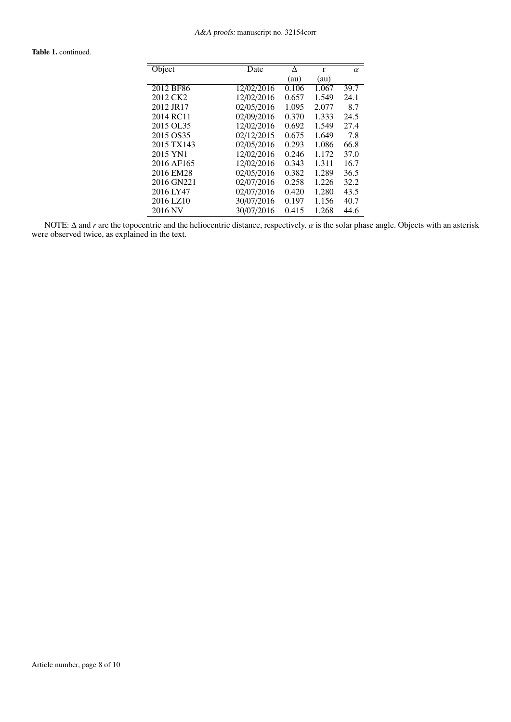# Table 1. continued.

| Object               | Date       | ٨     | r     | $\alpha$ |
|----------------------|------------|-------|-------|----------|
|                      |            | (au)  | (au)  |          |
| 2012 BF86            | 12/02/2016 | 0.106 | 1.067 | 39.7     |
| 2012 CK <sub>2</sub> | 12/02/2016 | 0.657 | 1.549 | 24.1     |
| 2012 JR17            | 02/05/2016 | 1.095 | 2.077 | 8.7      |
| 2014 RC11            | 02/09/2016 | 0.370 | 1.333 | 24.5     |
| 2015 OL35            | 12/02/2016 | 0.692 | 1.549 | 27.4     |
| 2015 OS35            | 02/12/2015 | 0.675 | 1.649 | 7.8      |
| 2015 TX143           | 02/05/2016 | 0.293 | 1.086 | 66.8     |
| 2015 YN1             | 12/02/2016 | 0.246 | 1.172 | 37.0     |
| 2016 AF165           | 12/02/2016 | 0.343 | 1.311 | 16.7     |
| 2016 EM28            | 02/05/2016 | 0.382 | 1.289 | 36.5     |
| 2016 GN221           | 02/07/2016 | 0.258 | 1.226 | 32.2     |
| 2016 LY47            | 02/07/2016 | 0.420 | 1.280 | 43.5     |
| 2016 LZ10            | 30/07/2016 | 0.197 | 1.156 | 40.7     |
| 2016 NV              | 30/07/2016 | 0.415 | 1.268 | 44.6     |

NOTE:  $\Delta$  and *r* are the topocentric and the heliocentric distance, respectively.  $\alpha$  is the solar phase angle. Objects with an asterisk were observed twice, as explained in the text.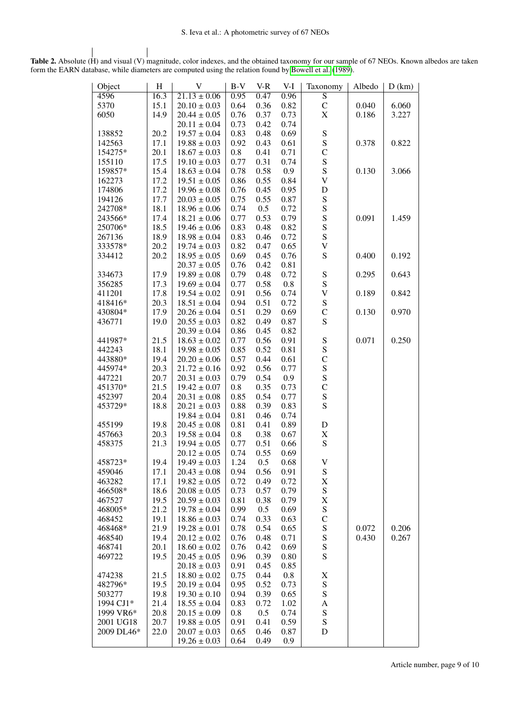|      | Object     | $H_{\rm}$ | V                | $B-V$   | $V-R$ | V-I      | Taxonomy                  | Albedo | D(km) |
|------|------------|-----------|------------------|---------|-------|----------|---------------------------|--------|-------|
| 4596 |            | 16.3      | $21.13 \pm 0.06$ | 0.95    | 0.47  | 0.96     | $\overline{S}$            |        |       |
| 5370 |            | 15.1      | $20.10 \pm 0.03$ | 0.64    | 0.36  | 0.82     | $\mathsf{C}$              | 0.040  | 6.060 |
| 6050 |            | 14.9      | $20.44 \pm 0.05$ | 0.76    | 0.37  | 0.73     | $\mathbf X$               | 0.186  | 3.227 |
|      |            |           | $20.11 \pm 0.04$ | 0.73    | 0.42  | 0.74     |                           |        |       |
|      | 138852     | 20.2      | $19.57 \pm 0.04$ | 0.83    | 0.48  | 0.69     | ${\bf S}$                 |        |       |
|      | 142563     | 17.1      | $19.88 \pm 0.03$ | 0.92    | 0.43  | 0.61     | ${\bf S}$                 | 0.378  | 0.822 |
|      | 154275*    | 20.1      | $18.67 \pm 0.03$ | $0.8\,$ | 0.41  | 0.71     | $\mathsf{C}$              |        |       |
|      | 155110     | 17.5      | $19.10 \pm 0.03$ | 0.77    | 0.31  | 0.74     | ${\bf S}$                 |        |       |
|      | 159857*    | 15.4      | $18.63 \pm 0.04$ | 0.78    | 0.58  | 0.9      | ${\bf S}$                 | 0.130  | 3.066 |
|      | 162273     | 17.2      | $19.51 \pm 0.05$ | 0.86    | 0.55  | 0.84     | $\mathbf V$               |        |       |
|      | 174806     | 17.2      | $19.96 \pm 0.08$ | 0.76    | 0.45  | 0.95     | $\mathbf D$               |        |       |
|      | 194126     | 17.7      | $20.03 \pm 0.05$ | 0.75    | 0.55  | 0.87     | ${\bf S}$                 |        |       |
|      | 242708*    | 18.1      | $18.96 \pm 0.06$ | 0.74    | 0.5   | 0.72     | ${\bf S}$                 |        |       |
|      |            |           |                  | 0.77    | 0.53  |          | ${\bf S}$                 |        |       |
|      | 243566*    | 17.4      | $18.21 \pm 0.06$ |         |       | 0.79     |                           | 0.091  | 1.459 |
|      | 250706*    | 18.5      | $19.46 \pm 0.06$ | 0.83    | 0.48  | 0.82     | ${\bf S}$                 |        |       |
|      | 267136     | 18.9      | $18.98 \pm 0.04$ | 0.83    | 0.46  | 0.72     | ${\bf S}$                 |        |       |
|      | 333578*    | 20.2      | $19.74 \pm 0.03$ | 0.82    | 0.47  | 0.65     | $\boldsymbol{\mathrm{V}}$ |        |       |
|      | 334412     | 20.2      | $18.95 \pm 0.05$ | 0.69    | 0.45  | 0.76     | S                         | 0.400  | 0.192 |
|      |            |           | $20.37 \pm 0.05$ | 0.76    | 0.42  | 0.81     |                           |        |       |
|      | 334673     | 17.9      | $19.89 \pm 0.08$ | 0.79    | 0.48  | 0.72     | ${\bf S}$                 | 0.295  | 0.643 |
|      | 356285     | 17.3      | $19.69 \pm 0.04$ | 0.77    | 0.58  | 0.8      | ${\bf S}$                 |        |       |
|      | 411201     | 17.8      | $19.54 \pm 0.02$ | 0.91    | 0.56  | 0.74     | $\mathbf V$               | 0.189  | 0.842 |
|      | 418416*    | 20.3      | $18.51 \pm 0.04$ | 0.94    | 0.51  | 0.72     | ${\bf S}$                 |        |       |
|      | 430804*    | 17.9      | $20.26 \pm 0.04$ | 0.51    | 0.29  | 0.69     | $\mathsf{C}$              | 0.130  | 0.970 |
|      | 436771     | 19.0      | $20.55 \pm 0.03$ | 0.82    | 0.49  | 0.87     | S                         |        |       |
|      |            |           | $20.39 \pm 0.04$ | 0.86    | 0.45  | 0.82     |                           |        |       |
|      | 441987*    | 21.5      | $18.63 \pm 0.02$ | 0.77    | 0.56  | 0.91     | ${\bf S}$                 | 0.071  | 0.250 |
|      | 442243     | 18.1      | $19.98 \pm 0.05$ | 0.85    | 0.52  | 0.81     | ${\bf S}$                 |        |       |
|      | 443880*    | 19.4      | $20.20 \pm 0.06$ | 0.57    | 0.44  | 0.61     | $\mathsf{C}$              |        |       |
|      | 445974*    | 20.3      | $21.72 \pm 0.16$ | 0.92    | 0.56  | 0.77     | ${\bf S}$                 |        |       |
|      | 447221     | 20.7      | $20.31 \pm 0.03$ | 0.79    | 0.54  | 0.9      | ${\bf S}$                 |        |       |
|      | 451370*    | 21.5      | $19.42 \pm 0.07$ | $0.8\,$ | 0.35  | 0.73     | $\mathsf{C}$              |        |       |
|      | 452397     | 20.4      | $20.31 \pm 0.08$ | 0.85    | 0.54  | 0.77     | ${\bf S}$                 |        |       |
|      | 453729*    |           |                  |         |       |          | ${\bf S}$                 |        |       |
|      |            | 18.8      | $20.21 \pm 0.03$ | 0.88    | 0.39  | 0.83     |                           |        |       |
|      |            |           | $19.84 \pm 0.04$ | 0.81    | 0.46  | 0.74     |                           |        |       |
|      | 455199     | 19.8      | $20.45 \pm 0.08$ | 0.81    | 0.41  | 0.89     | D                         |        |       |
|      | 457663     | 20.3      | $19.58 \pm 0.04$ | $0.8\,$ | 0.38  | 0.67     | $\mathbf X$               |        |       |
|      | 458375     | 21.3      | $19.94 \pm 0.05$ | 0.77    | 0.51  | 0.66     | ${\bf S}$                 |        |       |
|      |            |           | $20.12 \pm 0.05$ | 0.74    | 0.55  | 0.69     |                           |        |       |
|      | 458723*    | 19.4      | $19.49 \pm 0.03$ | 1.24    | 0.5   | $0.68\,$ | V                         |        |       |
|      | 459046     | 17.1      | $20.43 \pm 0.08$ | 0.94    | 0.56  | 0.91     | ${\bf S}$                 |        |       |
|      | 463282     | 17.1      | $19.82 \pm 0.05$ | 0.72    | 0.49  | 0.72     | X                         |        |       |
|      | 466508*    | 18.6      | $20.08 \pm 0.05$ | 0.73    | 0.57  | 0.79     | ${\bf S}$                 |        |       |
|      | 467527     | 19.5      | $20.59 \pm 0.03$ | 0.81    | 0.38  | 0.79     | X                         |        |       |
|      | 468005*    | 21.2      | $19.78 \pm 0.04$ | 0.99    | 0.5   | 0.69     | ${\bf S}$                 |        |       |
|      | 468452     | 19.1      | $18.86 \pm 0.03$ | 0.74    | 0.33  | 0.63     | $\mathsf{C}$              |        |       |
|      | 468468*    | 21.9      | $19.28 \pm 0.01$ | 0.78    | 0.54  | 0.65     | ${\bf S}$                 | 0.072  | 0.206 |
|      | 468540     | 19.4      | $20.12 \pm 0.02$ | 0.76    | 0.48  | 0.71     | ${\bf S}$                 | 0.430  | 0.267 |
|      | 468741     | 20.1      | $18.60 \pm 0.02$ | 0.76    | 0.42  | 0.69     | ${\bf S}$                 |        |       |
|      | 469722     | 19.5      | $20.45 \pm 0.05$ | 0.96    | 0.39  | 0.80     | ${\bf S}$                 |        |       |
|      |            |           | $20.18 \pm 0.03$ | 0.91    | 0.45  | 0.85     |                           |        |       |
|      | 474238     | 21.5      | $18.80 \pm 0.02$ | 0.75    | 0.44  | 0.8      | X                         |        |       |
|      | 482796*    | 19.5      | $20.19 \pm 0.04$ | 0.95    |       |          | ${\bf S}$                 |        |       |
|      |            |           |                  |         | 0.52  | 0.73     | ${\bf S}$                 |        |       |
|      | 503277     | 19.8      | $19.30 \pm 0.10$ | 0.94    | 0.39  | 0.65     |                           |        |       |
|      | 1994 CJ1*  | 21.4      | $18.55 \pm 0.04$ | 0.83    | 0.72  | 1.02     | A                         |        |       |
|      | 1999 VR6*  | 20.8      | $20.15 \pm 0.09$ | $0.8\,$ | 0.5   | 0.74     | ${\bf S}$                 |        |       |
|      | 2001 UG18  | 20.7      | $19.88 \pm 0.05$ | 0.91    | 0.41  | 0.59     | ${\bf S}$                 |        |       |
|      | 2009 DL46* | 22.0      | $20.07 \pm 0.03$ | 0.65    | 0.46  | 0.87     | D                         |        |       |
|      |            |           | $19.26 \pm 0.03$ | 0.64    | 0.49  | 0.9      |                           |        |       |

Table 2. Absolute (H) and visual (V) magnitude, color indexes, and the obtained taxonomy for our sample of 67 NEOs. Known albedos are taken form the EARN database, while diameters are computed using the relation found by [Bowell et al.](#page-4-25) [\(1989\)](#page-4-25).

Article number, page 9 of 10